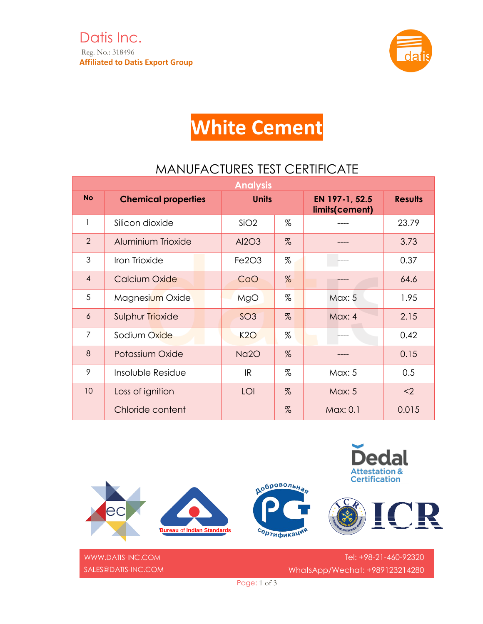

## **White Cement**

## MANUFACTURES TEST CERTIFICATE

| <b>Analysis</b> |                            |                                |      |                                  |                |  |  |  |  |
|-----------------|----------------------------|--------------------------------|------|----------------------------------|----------------|--|--|--|--|
| <b>No</b>       | <b>Chemical properties</b> | <b>Units</b>                   |      | EN 197-1, 52.5<br>limits(cement) | <b>Results</b> |  |  |  |  |
| 1               | Silicon dioxide            | SiO2                           | %    |                                  | 23.79          |  |  |  |  |
| $\overline{2}$  | Aluminium Trioxide         | Al2O3                          | %    |                                  | 3.73           |  |  |  |  |
| 3               | Iron Trioxide              | Fe <sub>2</sub> O <sub>3</sub> | %    |                                  | 0.37           |  |  |  |  |
| $\overline{4}$  | Calcium Oxide              | CaO                            | $\%$ |                                  | 64.6           |  |  |  |  |
| 5               | Magnesium Oxide            | MgO                            | %    | Max: 5                           | 1.95           |  |  |  |  |
| $\overline{6}$  | Sulphur Trioxide           | SO <sub>3</sub>                | %    | Max: 4                           | 2.15           |  |  |  |  |
| $\overline{7}$  | Sodium Oxide               | K2O                            | %    |                                  | 0.42           |  |  |  |  |
| 8               | Potassium Oxide            | Na <sub>20</sub>               | %    |                                  | 0.15           |  |  |  |  |
| 9               | Insoluble Residue          | IR                             | %    | Max: 5                           | 0.5            |  |  |  |  |
| 10              | Loss of ignition           | LOI                            | $\%$ | <b>Max: 5</b>                    | $2$            |  |  |  |  |
|                 | Chloride content           |                                | %    | Max: 0.1                         | 0.015          |  |  |  |  |



[WWW.DATIS-INC.COM](http://www.datis-inc.com/) SALES@DATIS-INC.COM

Tel: +98-21-460-92320 WhatsApp/Wechat: +989123214280

Page: 1 of 3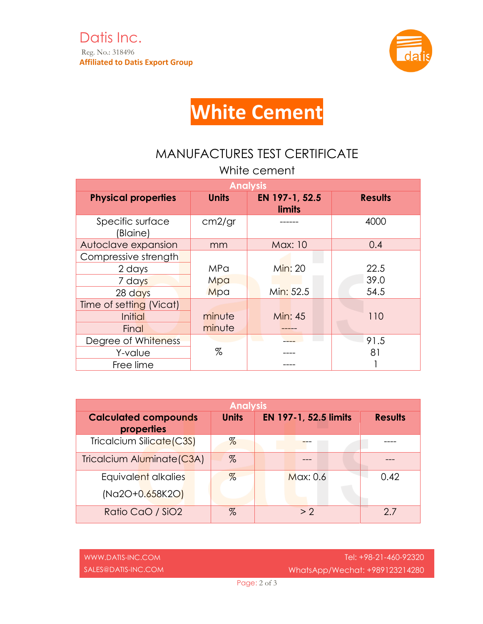

## **White Cement**

## MANUFACTURES TEST CERTIFICATE

| White cement                 |              |                                 |                |  |  |  |  |  |
|------------------------------|--------------|---------------------------------|----------------|--|--|--|--|--|
| <b>Analysis</b>              |              |                                 |                |  |  |  |  |  |
| <b>Physical properties</b>   | <b>Units</b> | EN 197-1, 52.5<br><b>limits</b> | <b>Results</b> |  |  |  |  |  |
| Specific surface<br>(Blaine) | cm2/gr       |                                 | 4000           |  |  |  |  |  |
| Autoclave expansion          | mm           | <b>Max: 10</b>                  | 0.4            |  |  |  |  |  |
| Compressive strength         |              |                                 |                |  |  |  |  |  |
| 2 days                       | MPa          | Min: 20                         | 22.5           |  |  |  |  |  |
| 7 days                       | Mpa          |                                 | 39.0           |  |  |  |  |  |
| $28$ days                    | Mpa          | Min: 52.5                       | 54.5           |  |  |  |  |  |
| Time of setting (Vicat)      |              |                                 |                |  |  |  |  |  |
| Initial                      | minute       | <b>Min: 45</b>                  | 110            |  |  |  |  |  |
| Final                        | minute       |                                 |                |  |  |  |  |  |
| Degree of Whiteness          |              |                                 | 91.5           |  |  |  |  |  |
| Y-value                      | %            |                                 | 81             |  |  |  |  |  |
| Free lime                    |              |                                 |                |  |  |  |  |  |

| <b>Analysis</b>                           |              |                       |                |  |  |  |  |
|-------------------------------------------|--------------|-----------------------|----------------|--|--|--|--|
| <b>Calculated compounds</b><br>properties | <b>Units</b> | EN 197-1, 52.5 limits | <b>Results</b> |  |  |  |  |
| Tricalcium Silicate (C3S)                 | $\%$         |                       |                |  |  |  |  |
| Tricalcium Aluminate (C3A)                | $\%$         |                       |                |  |  |  |  |
| Equivalent alkalies                       | $\%$         | Max: 0.6              | 0.42           |  |  |  |  |
| (Na2O+0.658K2O)                           |              |                       |                |  |  |  |  |
| Ratio CaO / SiO2                          | %            | > 2                   | 27             |  |  |  |  |

| N.DATIS-INC.COM |     |
|-----------------|-----|
| S@DATIS-INC.COM | Who |

 $WW$ SALE